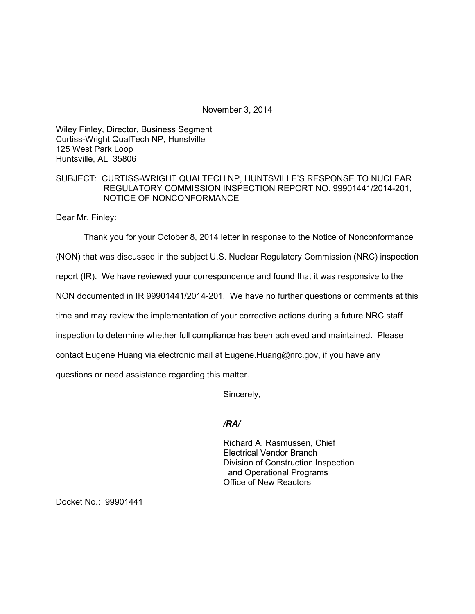November 3, 2014

Wiley Finley, Director, Business Segment Curtiss-Wright QualTech NP, Hunstville 125 West Park Loop Huntsville, AL 35806

## SUBJECT: CURTISS-WRIGHT QUALTECH NP, HUNTSVILLE'S RESPONSE TO NUCLEAR REGULATORY COMMISSION INSPECTION REPORT NO. 99901441/2014-201, NOTICE OF NONCONFORMANCE

Dear Mr. Finley:

Thank you for your October 8, 2014 letter in response to the Notice of Nonconformance

(NON) that was discussed in the subject U.S. Nuclear Regulatory Commission (NRC) inspection

report (IR). We have reviewed your correspondence and found that it was responsive to the

NON documented in IR 99901441/2014-201. We have no further questions or comments at this

time and may review the implementation of your corrective actions during a future NRC staff

inspection to determine whether full compliance has been achieved and maintained. Please

contact Eugene Huang via electronic mail at Eugene.Huang@nrc.gov, if you have any

questions or need assistance regarding this matter.

Sincerely,

*/RA/* 

Richard A. Rasmussen, Chief Electrical Vendor Branch Division of Construction Inspection and Operational Programs Office of New Reactors

Docket No.: 99901441